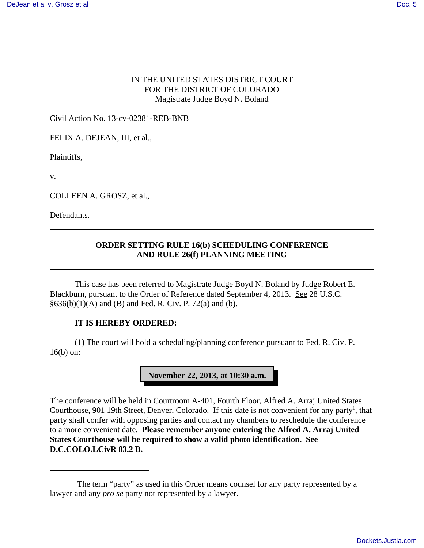## IN THE UNITED STATES DISTRICT COURT FOR THE DISTRICT OF COLORADO Magistrate Judge Boyd N. Boland

Civil Action No. 13-cv-02381-REB-BNB

FELIX A. DEJEAN, III, et al.,

Plaintiffs,

v.

COLLEEN A. GROSZ, et al.,

Defendants.

## **ORDER SETTING RULE 16(b) SCHEDULING CONFERENCE AND RULE 26(f) PLANNING MEETING**

This case has been referred to Magistrate Judge Boyd N. Boland by Judge Robert E. Blackburn, pursuant to the Order of Reference dated September 4, 2013. See 28 U.S.C.  $§636(b)(1)(A)$  and (B) and Fed. R. Civ. P. 72(a) and (b).

## **IT IS HEREBY ORDERED:**

(1) The court will hold a scheduling/planning conference pursuant to Fed. R. Civ. P. 16(b) on:



The conference will be held in Courtroom A-401, Fourth Floor, Alfred A. Arraj United States Courthouse, 901 19th Street, Denver, Colorado. If this date is not convenient for any party<sup>1</sup>, that party shall confer with opposing parties and contact my chambers to reschedule the conference to a more convenient date. **Please remember anyone entering the Alfred A. Arraj United States Courthouse will be required to show a valid photo identification. See D.C.COLO.LCivR 83.2 B.**

<sup>&</sup>lt;sup>1</sup>The term "party" as used in this Order means counsel for any party represented by a lawyer and any *pro se* party not represented by a lawyer.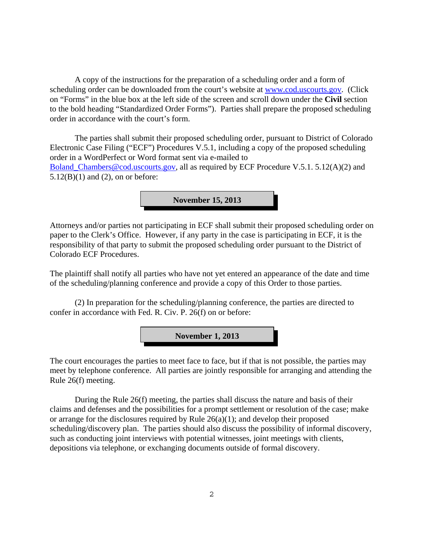A copy of the instructions for the preparation of a scheduling order and a form of scheduling order can be downloaded from the court's website at www.cod.uscourts.gov. (Click on "Forms" in the blue box at the left side of the screen and scroll down under the **Civil** section to the bold heading "Standardized Order Forms"). Parties shall prepare the proposed scheduling order in accordance with the court's form.

The parties shall submit their proposed scheduling order, pursuant to District of Colorado Electronic Case Filing ("ECF") Procedures V.5.1, including a copy of the proposed scheduling order in a WordPerfect or Word format sent via e-mailed to Boland\_Chambers@cod.uscourts.gov, all as required by ECF Procedure V.5.1. 5.12(A)(2) and  $5.12(B)(1)$  and  $(2)$ , on or before:

**November 15, 2013**

Attorneys and/or parties not participating in ECF shall submit their proposed scheduling order on paper to the Clerk's Office. However, if any party in the case is participating in ECF, it is the responsibility of that party to submit the proposed scheduling order pursuant to the District of Colorado ECF Procedures.

The plaintiff shall notify all parties who have not yet entered an appearance of the date and time of the scheduling/planning conference and provide a copy of this Order to those parties.

(2) In preparation for the scheduling/planning conference, the parties are directed to confer in accordance with Fed. R. Civ. P. 26(f) on or before:

**November 1, 2013**

The court encourages the parties to meet face to face, but if that is not possible, the parties may meet by telephone conference. All parties are jointly responsible for arranging and attending the Rule 26(f) meeting.

During the Rule 26(f) meeting, the parties shall discuss the nature and basis of their claims and defenses and the possibilities for a prompt settlement or resolution of the case; make or arrange for the disclosures required by Rule 26(a)(1); and develop their proposed scheduling/discovery plan. The parties should also discuss the possibility of informal discovery, such as conducting joint interviews with potential witnesses, joint meetings with clients, depositions via telephone, or exchanging documents outside of formal discovery.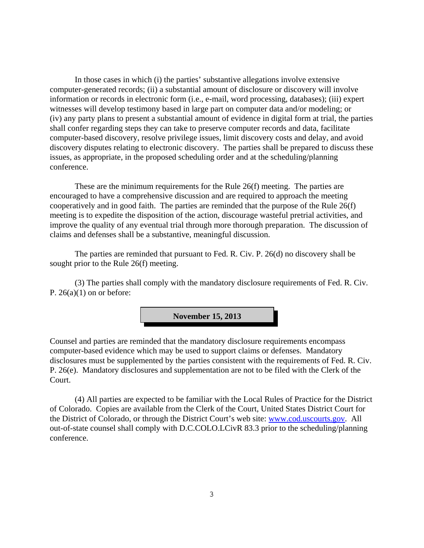In those cases in which (i) the parties' substantive allegations involve extensive computer-generated records; (ii) a substantial amount of disclosure or discovery will involve information or records in electronic form (i.e., e-mail, word processing, databases); (iii) expert witnesses will develop testimony based in large part on computer data and/or modeling; or (iv) any party plans to present a substantial amount of evidence in digital form at trial, the parties shall confer regarding steps they can take to preserve computer records and data, facilitate computer-based discovery, resolve privilege issues, limit discovery costs and delay, and avoid discovery disputes relating to electronic discovery. The parties shall be prepared to discuss these issues, as appropriate, in the proposed scheduling order and at the scheduling/planning conference.

These are the minimum requirements for the Rule 26(f) meeting. The parties are encouraged to have a comprehensive discussion and are required to approach the meeting cooperatively and in good faith. The parties are reminded that the purpose of the Rule 26(f) meeting is to expedite the disposition of the action, discourage wasteful pretrial activities, and improve the quality of any eventual trial through more thorough preparation. The discussion of claims and defenses shall be a substantive, meaningful discussion.

The parties are reminded that pursuant to Fed. R. Civ. P. 26(d) no discovery shall be sought prior to the Rule 26(f) meeting.

(3) The parties shall comply with the mandatory disclosure requirements of Fed. R. Civ. P.  $26(a)(1)$  on or before:

**November 15, 2013**

Counsel and parties are reminded that the mandatory disclosure requirements encompass computer-based evidence which may be used to support claims or defenses. Mandatory disclosures must be supplemented by the parties consistent with the requirements of Fed. R. Civ. P. 26(e). Mandatory disclosures and supplementation are not to be filed with the Clerk of the Court.

(4) All parties are expected to be familiar with the Local Rules of Practice for the District of Colorado. Copies are available from the Clerk of the Court, United States District Court for the District of Colorado, or through the District Court's web site: www.cod.uscourts.gov. All out-of-state counsel shall comply with D.C.COLO.LCivR 83.3 prior to the scheduling/planning conference.